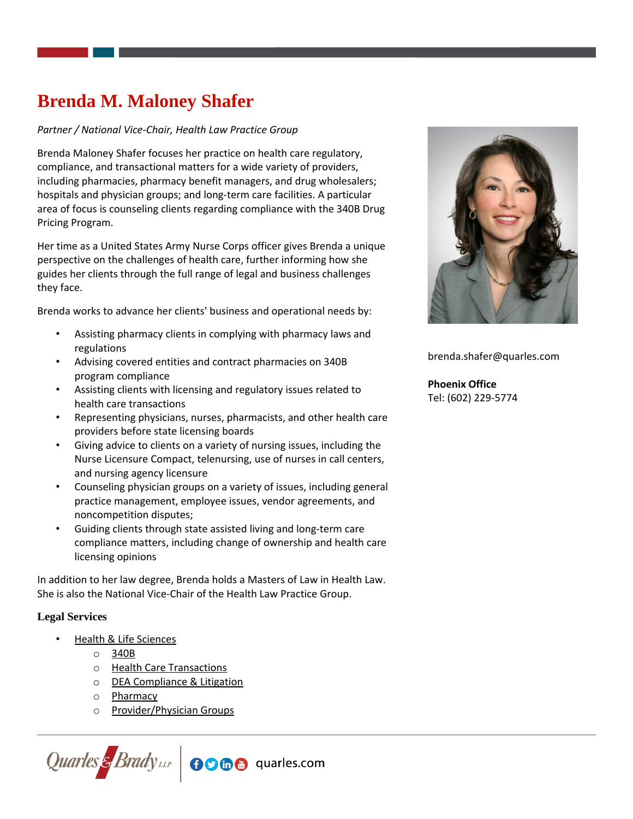# **Brenda M. Maloney Shafer**

# *Partner / National Vice-Chair, Health Law Practice Group*

Brenda Maloney Shafer focuses her practice on health care regulatory, compliance, and transactional matters for a wide variety of providers, including pharmacies, pharmacy benefit managers, and drug wholesalers; hospitals and physician groups; and long-term care facilities. A particular area of focus is counseling clients regarding compliance with the 340B Drug Pricing Program.

Her time as a United States Army Nurse Corps officer gives Brenda a unique perspective on the challenges of health care, further informing how she guides her clients through the full range of legal and business challenges they face.

Brenda works to advance her clients' business and operational needs by:

- Assisting pharmacy clients in complying with pharmacy laws and regulations
- Advising covered entities and contract pharmacies on 340B program compliance
- Assisting clients with licensing and regulatory issues related to health care transactions
- Representing physicians, nurses, pharmacists, and other health care providers before state licensing boards
- Giving advice to clients on a variety of nursing issues, including the Nurse Licensure Compact, telenursing, use of nurses in call centers, and nursing agency licensure
- Counseling physician groups on a variety of issues, including general practice management, employee issues, vendor agreements, and noncompetition disputes;
- Guiding clients through state assisted living and long-term care compliance matters, including change of ownership and health care licensing opinions

In addition to her law degree, Brenda holds a Masters of Law in Health Law. She is also the National Vice-Chair of the Health Law Practice Group.

## **Legal Services**

- [Health & Life Sciences](https://www.quarles.com/health-life-sciences/)
	- o [340B](https://www.quarles.com/health-life-sciences/services/340b/)
	- o [Health Care Transactions](https://www.quarles.com/health-life-sciences/services/health-care-transactions/)
	- o [DEA Compliance & Litigation](https://www.quarles.com/health-life-sciences/services/dea-compliance-litigation/)
	- o [Pharmacy](https://www.quarles.com/health-life-sciences/services/pharmacy/)
	- o [Provider/Physician Groups](https://www.quarles.com/health-life-sciences/services/providerphysician-groups/)





brenda.shafer@quarles.com

# **Phoenix Office** Tel: (602) 229-5774